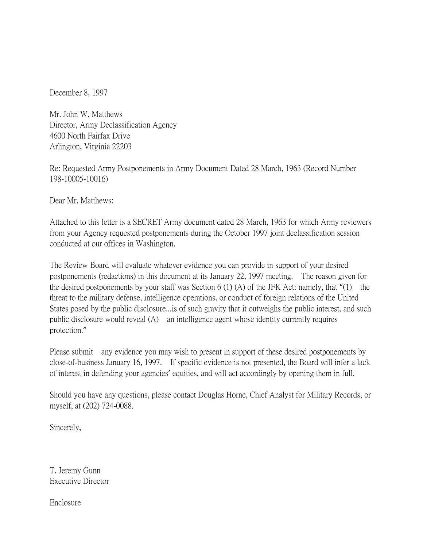December 8, 1997

Mr. John W. Matthews Director, Army Declassification Agency 4600 North Fairfax Drive Arlington, Virginia 22203

Re: Requested Army Postponements in Army Document Dated 28 March, 1963 (Record Number 198-10005-10016)

Dear Mr. Matthews:

Attached to this letter is a SECRET Army document dated 28 March, 1963 for which Army reviewers from your Agency requested postponements during the October 1997 joint declassification session conducted at our offices in Washington.

The Review Board will evaluate whatever evidence you can provide in support of your desired postponements (redactions) in this document at its January 22, 1997 meeting. The reason given for the desired postponements by your staff was Section 6 (1) (A) of the JFK Act: namely, that "(1) the threat to the military defense, intelligence operations, or conduct of foreign relations of the United States posed by the public disclosure...is of such gravity that it outweighs the public interest, and such public disclosure would reveal (A) an intelligence agent whose identity currently requires protection."

Please submit any evidence you may wish to present in support of these desired postponements by close-of-business January 16, 1997. If specific evidence is not presented, the Board will infer a lack of interest in defending your agencies' equities, and will act accordingly by opening them in full.

Should you have any questions, please contact Douglas Horne, Chief Analyst for Military Records, or myself, at (202) 724-0088.

Sincerely,

T. Jeremy Gunn Executive Director

Enclosure